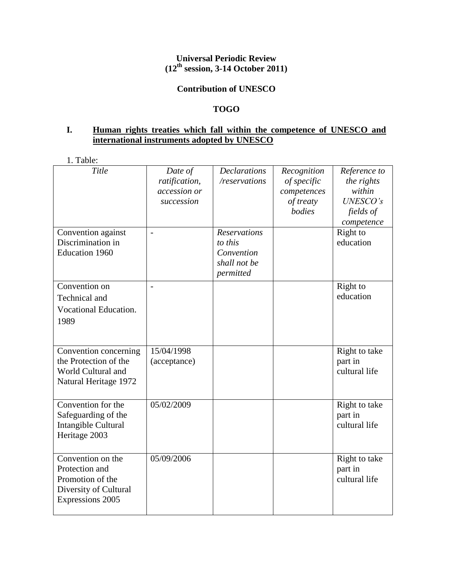# **Universal Periodic Review (12th session, 3-14 October 2011)**

#### **Contribution of UNESCO**

# **TOGO**

# **I. Human rights treaties which fall within the competence of UNESCO and international instruments adopted by UNESCO**

1. Table:

| Title                                                                                                       | Date of<br>ratification,<br>accession or<br>succession | <b>Declarations</b><br>/reservations                                      | Recognition<br>of specific<br>competences<br>of treaty<br>bodies | Reference to<br>the rights<br>within<br>UNESCO's<br>fields of<br>competence |
|-------------------------------------------------------------------------------------------------------------|--------------------------------------------------------|---------------------------------------------------------------------------|------------------------------------------------------------------|-----------------------------------------------------------------------------|
| Convention against<br>Discrimination in<br><b>Education 1960</b>                                            | $\blacksquare$                                         | <b>Reservations</b><br>to this<br>Convention<br>shall not be<br>permitted |                                                                  | Right to<br>education                                                       |
| Convention on<br>Technical and<br>Vocational Education.<br>1989                                             | $\overline{a}$                                         |                                                                           |                                                                  | Right to<br>education                                                       |
| Convention concerning<br>the Protection of the<br>World Cultural and<br>Natural Heritage 1972               | 15/04/1998<br>(acceptance)                             |                                                                           |                                                                  | Right to take<br>part in<br>cultural life                                   |
| Convention for the<br>Safeguarding of the<br>Intangible Cultural<br>Heritage 2003                           | 05/02/2009                                             |                                                                           |                                                                  | Right to take<br>part in<br>cultural life                                   |
| Convention on the<br>Protection and<br>Promotion of the<br>Diversity of Cultural<br><b>Expressions 2005</b> | 05/09/2006                                             |                                                                           |                                                                  | Right to take<br>part in<br>cultural life                                   |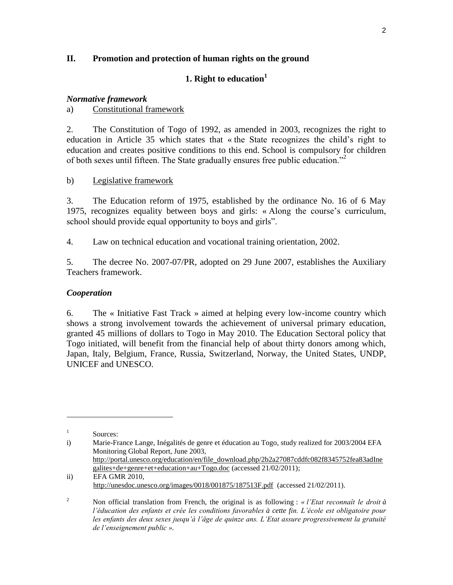## **II. Promotion and protection of human rights on the ground**

# **1. Right to education<sup>1</sup>**

### *Normative framework*

a) Constitutional framework

2. The Constitution of Togo of 1992, as amended in 2003, recognizes the right to education in Article 35 which states that « the State recognizes the child's right to education and creates positive conditions to this end. School is compulsory for children of both sexes until fifteen. The State gradually ensures free public education."<sup>2</sup>

#### b) Legislative framework

3. The Education reform of 1975, established by the ordinance No. 16 of 6 May 1975, recognizes equality between boys and girls: « Along the course's curriculum, school should provide equal opportunity to boys and girls".

4. Law on technical education and vocational training orientation, 2002.

5. The decree No. 2007-07/PR, adopted on 29 June 2007, establishes the Auxiliary Teachers framework.

### *Cooperation*

6. The « Initiative Fast Track » aimed at helping every low-income country which shows a strong involvement towards the achievement of universal primary education, granted 45 millions of dollars to Togo in May 2010. The Education Sectoral policy that Togo initiated, will benefit from the financial help of about thirty donors among which, Japan, Italy, Belgium, France, Russia, Switzerland, Norway, the United States, UNDP, UNICEF and UNESCO.

 $\overline{\phantom{a}}$ 

<sup>1</sup> Sources:

i) Marie-France Lange, Inégalités de genre et éducation au Togo, study realized for 2003/2004 EFA Monitoring Global Report, June 2003, [http://portal.unesco.org/education/en/file\\_download.php/2b2a27087cddfc082f8345752fea83adIne](http://portal.unesco.org/education/en/file_download.php/2b2a27087cddfc082f8345752fea83adInegalites+de+genre+et+education+au+Togo.doc) [galites+de+genre+et+education+au+Togo.doc](http://portal.unesco.org/education/en/file_download.php/2b2a27087cddfc082f8345752fea83adInegalites+de+genre+et+education+au+Togo.doc) (accessed 21/02/2011);

ii) EFA GMR 2010, <http://unesdoc.unesco.org/images/0018/001875/187513F.pdf>(accessed 21/02/2011).

<sup>2</sup> Non official translation from French, the original is as following : *« l'Etat reconnaît le droit à l'éducation des enfants et crée les conditions favorables à cette fin. L'école est obligatoire pour les enfants des deux sexes jusqu'à l'âge de quinze ans. L'Etat assure progressivement la gratuité de l'enseignement public ».*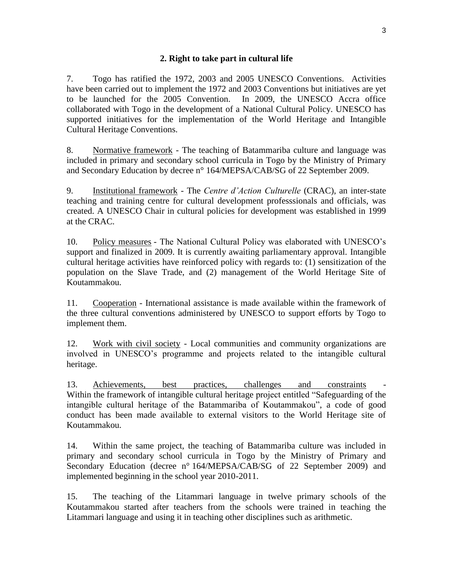7. Togo has ratified the 1972, 2003 and 2005 UNESCO Conventions. Activities have been carried out to implement the 1972 and 2003 Conventions but initiatives are yet to be launched for the 2005 Convention. In 2009, the UNESCO Accra office collaborated with Togo in the development of a National Cultural Policy. UNESCO has supported initiatives for the implementation of the World Heritage and Intangible Cultural Heritage Conventions.

8. Normative framework - The teaching of Batammariba culture and language was included in primary and secondary school curricula in Togo by the Ministry of Primary and Secondary Education by decree n° 164/MEPSA/CAB/SG of 22 September 2009.

9. Institutional framework - The *Centre d'Action Culturelle* (CRAC), an inter-state teaching and training centre for cultural development professsionals and officials, was created. A UNESCO Chair in cultural policies for development was established in 1999 at the CRAC.

10. Policy measures - The National Cultural Policy was elaborated with UNESCO's support and finalized in 2009. It is currently awaiting parliamentary approval. Intangible cultural heritage activities have reinforced policy with regards to: (1) sensitization of the population on the Slave Trade, and (2) management of the World Heritage Site of Koutammakou.

11. Cooperation - International assistance is made available within the framework of the three cultural conventions administered by UNESCO to support efforts by Togo to implement them.

12. Work with civil society - Local communities and community organizations are involved in UNESCO's programme and projects related to the intangible cultural heritage.

13. Achievements, best practices, challenges and constraints Within the framework of intangible cultural heritage project entitled "Safeguarding of the intangible cultural heritage of the Batammariba of Koutammakou", a code of good conduct has been made available to external visitors to the World Heritage site of Koutammakou.

14. Within the same project, the teaching of Batammariba culture was included in primary and secondary school curricula in Togo by the Ministry of Primary and Secondary Education (decree n° 164/MEPSA/CAB/SG of 22 September 2009) and implemented beginning in the school year 2010-2011.

15. The teaching of the Litammari language in twelve primary schools of the Koutammakou started after teachers from the schools were trained in teaching the Litammari language and using it in teaching other disciplines such as arithmetic.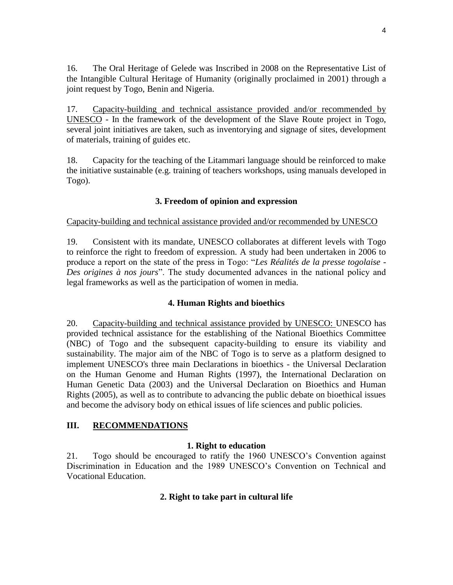16. The Oral Heritage of Gelede was Inscribed in 2008 on the Representative List of the Intangible Cultural Heritage of Humanity (originally proclaimed in 2001) through a joint request by Togo, Benin and Nigeria.

17. Capacity-building and technical assistance provided and/or recommended by UNESCO - In the framework of the development of the Slave Route project in Togo, several joint initiatives are taken, such as inventorying and signage of sites, development of materials, training of guides etc.

18. Capacity for the teaching of the Litammari language should be reinforced to make the initiative sustainable (e.g. training of teachers workshops, using manuals developed in Togo).

# **3. Freedom of opinion and expression**

#### Capacity-building and technical assistance provided and/or recommended by UNESCO

19. Consistent with its mandate, UNESCO collaborates at different levels with Togo to reinforce the right to freedom of expression. A study had been undertaken in 2006 to produce a report on the state of the press in Togo: "*Les Réalités de la presse togolaise - Des origines à nos jours*". The study documented advances in the national policy and legal frameworks as well as the participation of women in media.

## **4. Human Rights and bioethics**

20. Capacity-building and technical assistance provided by UNESCO: UNESCO has provided technical assistance for the establishing of the National Bioethics Committee (NBC) of Togo and the subsequent capacity-building to ensure its viability and sustainability. The major aim of the NBC of Togo is to serve as a platform designed to implement UNESCO's three main Declarations in bioethics - the Universal Declaration on the Human Genome and Human Rights (1997), the International Declaration on Human Genetic Data (2003) and the Universal Declaration on Bioethics and Human Rights (2005), as well as to contribute to advancing the public debate on bioethical issues and become the advisory body on ethical issues of life sciences and public policies.

## **III. RECOMMENDATIONS**

## **1. Right to education**

21. Togo should be encouraged to ratify the 1960 UNESCO's Convention against Discrimination in Education and the 1989 UNESCO's Convention on Technical and Vocational Education.

## **2. Right to take part in cultural life**